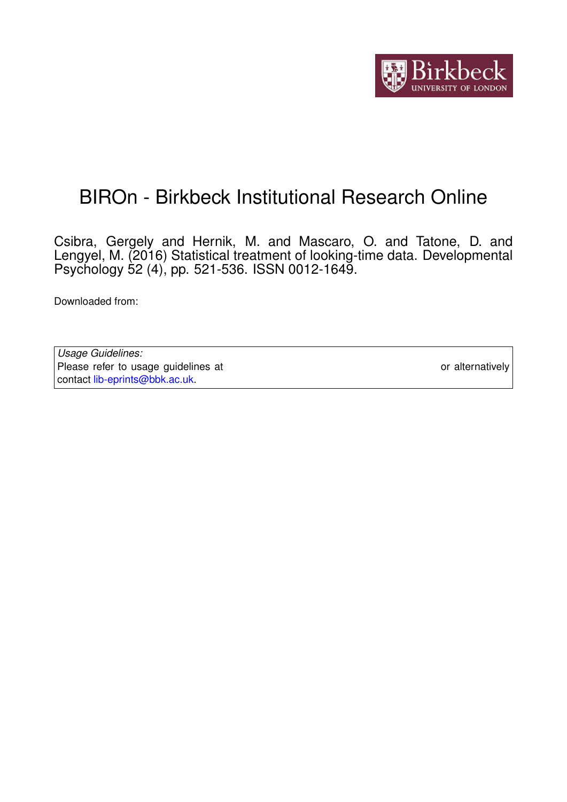

# BIROn - Birkbeck Institutional Research Online

Csibra, Gergely and Hernik, M. and Mascaro, O. and Tatone, D. and Lengyel, M. (2016) Statistical treatment of looking-time data. Developmental Psychology 52 (4), pp. 521-536. ISSN 0012-1649.

Downloaded from: <https://eprints.bbk.ac.uk/id/eprint/15962/>

*Usage Guidelines:* Please refer to usage guidelines at <https://eprints.bbk.ac.uk/policies.html> or alternatively contact [lib-eprints@bbk.ac.uk.](mailto:lib-eprints@bbk.ac.uk)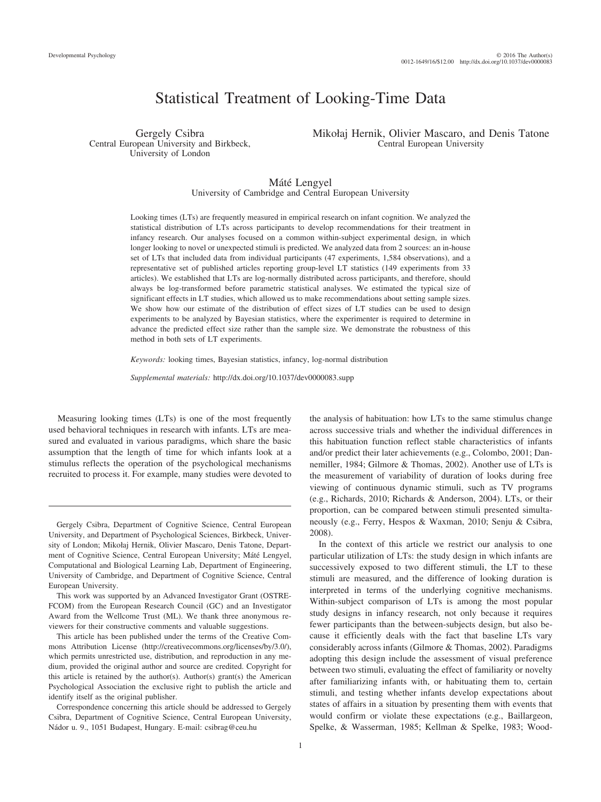# Statistical Treatment of Looking-Time Data

Gergely Csibra Central European University and Birkbeck, University of London

Mikołaj Hernik, Olivier Mascaro, and Denis Tatone Central European University

### Máté Lengyel

University of Cambridge and Central European University

Looking times (LTs) are frequently measured in empirical research on infant cognition. We analyzed the statistical distribution of LTs across participants to develop recommendations for their treatment in infancy research. Our analyses focused on a common within-subject experimental design, in which longer looking to novel or unexpected stimuli is predicted. We analyzed data from 2 sources: an in-house set of LTs that included data from individual participants (47 experiments, 1,584 observations), and a representative set of published articles reporting group-level LT statistics (149 experiments from 33 articles). We established that LTs are log-normally distributed across participants, and therefore, should always be log-transformed before parametric statistical analyses. We estimated the typical size of significant effects in LT studies, which allowed us to make recommendations about setting sample sizes. We show how our estimate of the distribution of effect sizes of LT studies can be used to design experiments to be analyzed by Bayesian statistics, where the experimenter is required to determine in advance the predicted effect size rather than the sample size. We demonstrate the robustness of this method in both sets of LT experiments.

*Keywords:* looking times, Bayesian statistics, infancy, log-normal distribution

*Supplemental materials:* http://dx.doi.org/10.1037/dev0000083.supp

Measuring looking times (LTs) is one of the most frequently used behavioral techniques in research with infants. LTs are measured and evaluated in various paradigms, which share the basic assumption that the length of time for which infants look at a stimulus reflects the operation of the psychological mechanisms recruited to process it. For example, many studies were devoted to

Gergely Csibra, Department of Cognitive Science, Central European University, and Department of Psychological Sciences, Birkbeck, University of London; Mikołaj Hernik, Olivier Mascaro, Denis Tatone, Department of Cognitive Science, Central European University; Máté Lengyel, Computational and Biological Learning Lab, Department of Engineering, University of Cambridge, and Department of Cognitive Science, Central European University.

This work was supported by an Advanced Investigator Grant (OSTRE-FCOM) from the European Research Council (GC) and an Investigator Award from the Wellcome Trust (ML). We thank three anonymous reviewers for their constructive comments and valuable suggestions.

This article has been published under the terms of the Creative Commons Attribution License (http://creativecommons.org/licenses/by/3.0/), which permits unrestricted use, distribution, and reproduction in any medium, provided the original author and source are credited. Copyright for this article is retained by the author(s). Author(s) grant(s) the American Psychological Association the exclusive right to publish the article and identify itself as the original publisher.

Correspondence concerning this article should be addressed to Gergely Csibra, Department of Cognitive Science, Central European University, Nádor u. 9., 1051 Budapest, Hungary. E-mail: csibrag@ceu.hu

the analysis of habituation: how LTs to the same stimulus change across successive trials and whether the individual differences in this habituation function reflect stable characteristics of infants and/or predict their later achievements (e.g., Colombo, 2001; Dannemiller, 1984; Gilmore & Thomas, 2002). Another use of LTs is the measurement of variability of duration of looks during free viewing of continuous dynamic stimuli, such as TV programs (e.g., Richards, 2010; Richards & Anderson, 2004). LTs, or their proportion, can be compared between stimuli presented simultaneously (e.g., Ferry, Hespos & Waxman, 2010; Senju & Csibra, 2008).

In the context of this article we restrict our analysis to one particular utilization of LTs: the study design in which infants are successively exposed to two different stimuli, the LT to these stimuli are measured, and the difference of looking duration is interpreted in terms of the underlying cognitive mechanisms. Within-subject comparison of LTs is among the most popular study designs in infancy research, not only because it requires fewer participants than the between-subjects design, but also because it efficiently deals with the fact that baseline LTs vary considerably across infants (Gilmore & Thomas, 2002). Paradigms adopting this design include the assessment of visual preference between two stimuli, evaluating the effect of familiarity or novelty after familiarizing infants with, or habituating them to, certain stimuli, and testing whether infants develop expectations about states of affairs in a situation by presenting them with events that would confirm or violate these expectations (e.g., Baillargeon, Spelke, & Wasserman, 1985; Kellman & Spelke, 1983; Wood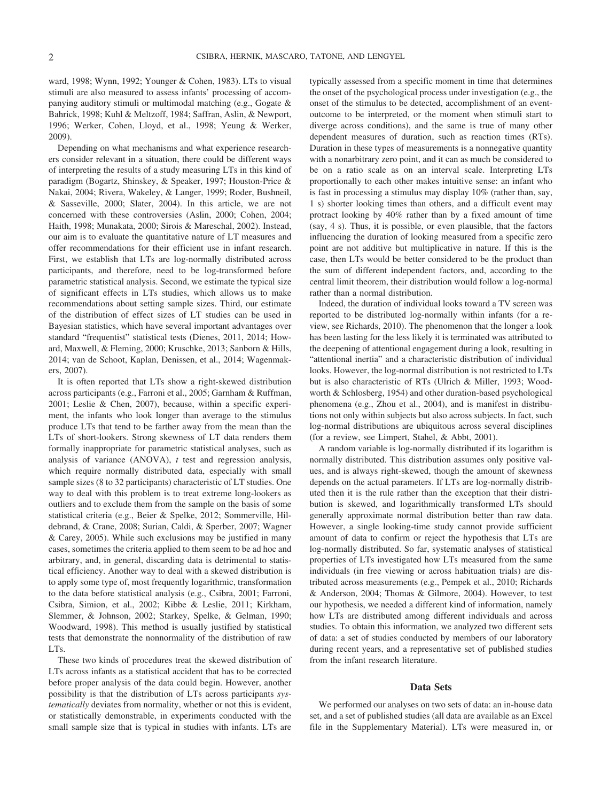ward, 1998; Wynn, 1992; Younger & Cohen, 1983). LTs to visual stimuli are also measured to assess infants' processing of accompanying auditory stimuli or multimodal matching (e.g., Gogate & Bahrick, 1998; Kuhl & Meltzoff, 1984; Saffran, Aslin, & Newport, 1996; Werker, Cohen, Lloyd, et al., 1998; Yeung & Werker, 2009).

Depending on what mechanisms and what experience researchers consider relevant in a situation, there could be different ways of interpreting the results of a study measuring LTs in this kind of paradigm (Bogartz, Shinskey, & Speaker, 1997; Houston-Price & Nakai, 2004; Rivera, Wakeley, & Langer, 1999; Roder, Bushneil, & Sasseville, 2000; Slater, 2004). In this article, we are not concerned with these controversies (Aslin, 2000; Cohen, 2004; Haith, 1998; Munakata, 2000; Sirois & Mareschal, 2002). Instead, our aim is to evaluate the quantitative nature of LT measures and offer recommendations for their efficient use in infant research. First, we establish that LTs are log-normally distributed across participants, and therefore, need to be log-transformed before parametric statistical analysis. Second, we estimate the typical size of significant effects in LTs studies, which allows us to make recommendations about setting sample sizes. Third, our estimate of the distribution of effect sizes of LT studies can be used in Bayesian statistics, which have several important advantages over standard "frequentist" statistical tests (Dienes, 2011, 2014; Howard, Maxwell, & Fleming, 2000; Kruschke, 2013; Sanborn & Hills, 2014; van de Schoot, Kaplan, Denissen, et al., 2014; Wagenmakers, 2007).

It is often reported that LTs show a right-skewed distribution across participants (e.g., Farroni et al., 2005; Garnham & Ruffman, 2001; Leslie & Chen, 2007), because, within a specific experiment, the infants who look longer than average to the stimulus produce LTs that tend to be farther away from the mean than the LTs of short-lookers. Strong skewness of LT data renders them formally inappropriate for parametric statistical analyses, such as analysis of variance (ANOVA), *t* test and regression analysis, which require normally distributed data, especially with small sample sizes (8 to 32 participants) characteristic of LT studies. One way to deal with this problem is to treat extreme long-lookers as outliers and to exclude them from the sample on the basis of some statistical criteria (e.g., Beier & Spelke, 2012; Sommerville, Hildebrand, & Crane, 2008; Surian, Caldi, & Sperber, 2007; Wagner & Carey, 2005). While such exclusions may be justified in many cases, sometimes the criteria applied to them seem to be ad hoc and arbitrary, and, in general, discarding data is detrimental to statistical efficiency. Another way to deal with a skewed distribution is to apply some type of, most frequently logarithmic, transformation to the data before statistical analysis (e.g., Csibra, 2001; Farroni, Csibra, Simion, et al., 2002; Kibbe & Leslie, 2011; Kirkham, Slemmer, & Johnson, 2002; Starkey, Spelke, & Gelman, 1990; Woodward, 1998). This method is usually justified by statistical tests that demonstrate the nonnormality of the distribution of raw LTs.

These two kinds of procedures treat the skewed distribution of LTs across infants as a statistical accident that has to be corrected before proper analysis of the data could begin. However, another possibility is that the distribution of LTs across participants *systematically* deviates from normality, whether or not this is evident, or statistically demonstrable, in experiments conducted with the small sample size that is typical in studies with infants. LTs are

typically assessed from a specific moment in time that determines the onset of the psychological process under investigation (e.g., the onset of the stimulus to be detected, accomplishment of an eventoutcome to be interpreted, or the moment when stimuli start to diverge across conditions), and the same is true of many other dependent measures of duration, such as reaction times (RTs). Duration in these types of measurements is a nonnegative quantity with a nonarbitrary zero point, and it can as much be considered to be on a ratio scale as on an interval scale. Interpreting LTs proportionally to each other makes intuitive sense: an infant who is fast in processing a stimulus may display 10% (rather than, say, 1 s) shorter looking times than others, and a difficult event may protract looking by 40% rather than by a fixed amount of time (say, 4 s). Thus, it is possible, or even plausible, that the factors influencing the duration of looking measured from a specific zero point are not additive but multiplicative in nature. If this is the case, then LTs would be better considered to be the product than the sum of different independent factors, and, according to the central limit theorem, their distribution would follow a log-normal rather than a normal distribution.

Indeed, the duration of individual looks toward a TV screen was reported to be distributed log-normally within infants (for a review, see Richards, 2010). The phenomenon that the longer a look has been lasting for the less likely it is terminated was attributed to the deepening of attentional engagement during a look, resulting in "attentional inertia" and a characteristic distribution of individual looks. However, the log-normal distribution is not restricted to LTs but is also characteristic of RTs (Ulrich & Miller, 1993; Woodworth & Schlosberg, 1954) and other duration-based psychological phenomena (e.g., Zhou et al., 2004), and is manifest in distributions not only within subjects but also across subjects. In fact, such log-normal distributions are ubiquitous across several disciplines (for a review, see Limpert, Stahel, & Abbt, 2001).

A random variable is log-normally distributed if its logarithm is normally distributed. This distribution assumes only positive values, and is always right-skewed, though the amount of skewness depends on the actual parameters. If LTs are log-normally distributed then it is the rule rather than the exception that their distribution is skewed, and logarithmically transformed LTs should generally approximate normal distribution better than raw data. However, a single looking-time study cannot provide sufficient amount of data to confirm or reject the hypothesis that LTs are log-normally distributed. So far, systematic analyses of statistical properties of LTs investigated how LTs measured from the same individuals (in free viewing or across habituation trials) are distributed across measurements (e.g., Pempek et al., 2010; Richards & Anderson, 2004; Thomas & Gilmore, 2004). However, to test our hypothesis, we needed a different kind of information, namely how LTs are distributed among different individuals and across studies. To obtain this information, we analyzed two different sets of data: a set of studies conducted by members of our laboratory during recent years, and a representative set of published studies from the infant research literature.

#### **Data Sets**

We performed our analyses on two sets of data: an in-house data set, and a set of published studies (all data are available as an Excel file in the Supplementary Material). LTs were measured in, or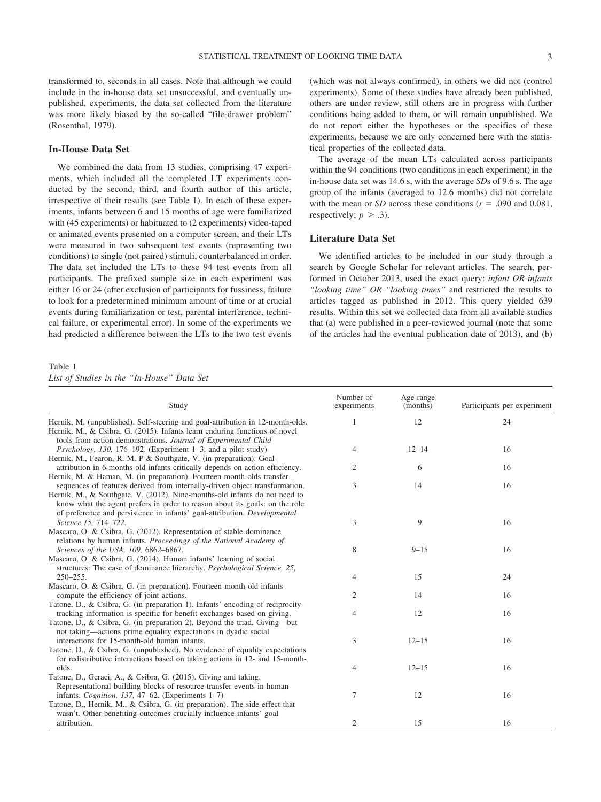transformed to, seconds in all cases. Note that although we could include in the in-house data set unsuccessful, and eventually unpublished, experiments, the data set collected from the literature was more likely biased by the so-called "file-drawer problem" (Rosenthal, 1979).

#### **In-House Data Set**

We combined the data from 13 studies, comprising 47 experiments, which included all the completed LT experiments conducted by the second, third, and fourth author of this article, irrespective of their results (see Table 1). In each of these experiments, infants between 6 and 15 months of age were familiarized with (45 experiments) or habituated to (2 experiments) video-taped or animated events presented on a computer screen, and their LTs were measured in two subsequent test events (representing two conditions) to single (not paired) stimuli, counterbalanced in order. The data set included the LTs to these 94 test events from all participants. The prefixed sample size in each experiment was either 16 or 24 (after exclusion of participants for fussiness, failure to look for a predetermined minimum amount of time or at crucial events during familiarization or test, parental interference, technical failure, or experimental error). In some of the experiments we had predicted a difference between the LTs to the two test events

Table 1 *List of Studies in the "In-House" Data Set*

(which was not always confirmed), in others we did not (control experiments). Some of these studies have already been published, others are under review, still others are in progress with further conditions being added to them, or will remain unpublished. We do not report either the hypotheses or the specifics of these experiments, because we are only concerned here with the statistical properties of the collected data.

The average of the mean LTs calculated across participants within the 94 conditions (two conditions in each experiment) in the in-house data set was 14.6 s, with the average *SD*s of 9.6 s. The age group of the infants (averaged to 12.6 months) did not correlate with the mean or *SD* across these conditions ( $r = .090$  and 0.081, respectively;  $p > .3$ ).

### **Literature Data Set**

We identified articles to be included in our study through a search by Google Scholar for relevant articles. The search, performed in October 2013, used the exact query: *infant OR infants "looking time" OR "looking times"* and restricted the results to articles tagged as published in 2012. This query yielded 639 results. Within this set we collected data from all available studies that (a) were published in a peer-reviewed journal (note that some of the articles had the eventual publication date of 2013), and (b)

| Study                                                                                                                                                                                                                                                                                                                 | Number of<br>experiments | Age range<br>(months) | Participants per experiment |
|-----------------------------------------------------------------------------------------------------------------------------------------------------------------------------------------------------------------------------------------------------------------------------------------------------------------------|--------------------------|-----------------------|-----------------------------|
| Hernik, M. (unpublished). Self-steering and goal-attribution in 12-month-olds.<br>Hernik, M., & Csibra, G. (2015). Infants learn enduring functions of novel<br>tools from action demonstrations. Journal of Experimental Child                                                                                       | 1                        | 12                    | 24                          |
| Psychology, 130, 176–192. (Experiment 1–3, and a pilot study)<br>Hernik, M., Fearon, R. M. P & Southgate, V. (in preparation). Goal-                                                                                                                                                                                  | 4                        | $12 - 14$             | 16                          |
| attribution in 6-months-old infants critically depends on action efficiency.<br>Hernik, M. & Haman, M. (in preparation). Fourteen-month-olds transfer                                                                                                                                                                 | $\overline{2}$           | 6                     | 16                          |
| sequences of features derived from internally-driven object transformation.<br>Hernik, M., & Southgate, V. (2012). Nine-months-old infants do not need to<br>know what the agent prefers in order to reason about its goals: on the role<br>of preference and persistence in infants' goal-attribution. Developmental | 3                        | 14                    | 16                          |
| Science, 15, 714-722.<br>Mascaro, O. & Csibra, G. (2012). Representation of stable dominance                                                                                                                                                                                                                          | 3                        | 9                     | 16                          |
| relations by human infants. Proceedings of the National Academy of<br>Sciences of the USA, 109, 6862-6867.<br>Mascaro, O. & Csibra, G. (2014). Human infants' learning of social                                                                                                                                      | 8                        | $9 - 15$              | 16                          |
| structures: The case of dominance hierarchy. Psychological Science, 25,<br>$250 - 255$ .                                                                                                                                                                                                                              | 4                        | 15                    | 24                          |
| Mascaro, O. & Csibra, G. (in preparation). Fourteen-month-old infants<br>compute the efficiency of joint actions.<br>Tatone, D., & Csibra, G. (in preparation 1). Infants' encoding of reciprocity-                                                                                                                   | $\overline{2}$           | 14                    | 16                          |
| tracking information is specific for benefit exchanges based on giving.<br>Tatone, D., & Csibra, G. (in preparation 2). Beyond the triad. Giving—but                                                                                                                                                                  | 4                        | 12                    | 16                          |
| not taking—actions prime equality expectations in dyadic social<br>interactions for 15-month-old human infants.<br>Tatone, D., & Csibra, G. (unpublished). No evidence of equality expectations                                                                                                                       | 3                        | $12 - 15$             | 16                          |
| for redistributive interactions based on taking actions in 12- and 15-month-<br>olds.                                                                                                                                                                                                                                 | 4                        | $12 - 15$             | 16                          |
| Tatone, D., Geraci, A., & Csibra, G. (2015). Giving and taking.<br>Representational building blocks of resource-transfer events in human<br>infants. Cognition, 137, 47–62. (Experiments 1–7)                                                                                                                         | 7                        | 12                    | 16                          |
| Tatone, D., Hernik, M., & Csibra, G. (in preparation). The side effect that<br>wasn't. Other-benefiting outcomes crucially influence infants' goal<br>attribution.                                                                                                                                                    | 2                        | 15                    | 16                          |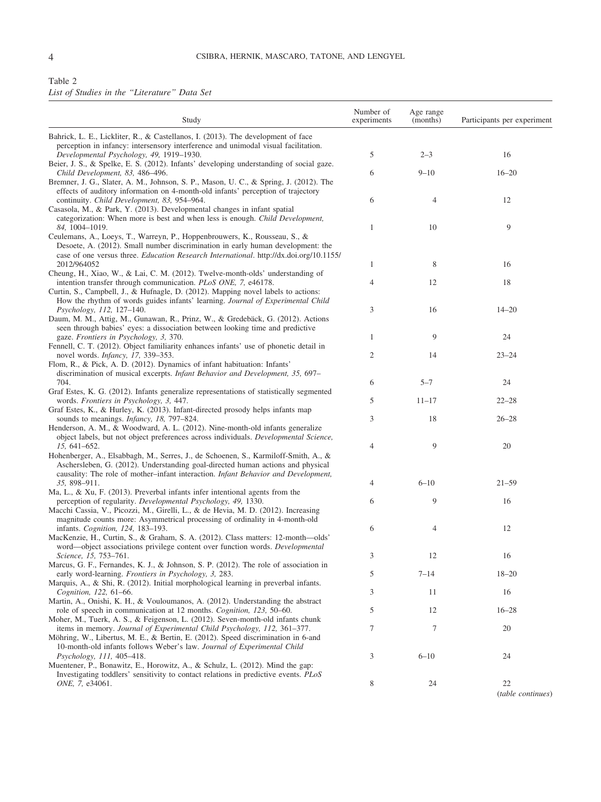Table 2

| List of Studies in the "Literature" Data Set |  |
|----------------------------------------------|--|
|----------------------------------------------|--|

| Study                                                                                                                                                                                                                                                                                                                                                                         | Number of<br>experiments | Age range<br>(months) | Participants per experiment |
|-------------------------------------------------------------------------------------------------------------------------------------------------------------------------------------------------------------------------------------------------------------------------------------------------------------------------------------------------------------------------------|--------------------------|-----------------------|-----------------------------|
| Bahrick, L. E., Lickliter, R., & Castellanos, I. (2013). The development of face<br>perception in infancy: intersensory interference and unimodal visual facilitation.<br>Developmental Psychology, 49, 1919-1930.                                                                                                                                                            | 5                        | $2 - 3$               | 16                          |
| Beier, J. S., & Spelke, E. S. (2012). Infants' developing understanding of social gaze.<br>Child Development, 83, 486-496.                                                                                                                                                                                                                                                    | 6                        | $9 - 10$              | $16 - 20$                   |
| Bremner, J. G., Slater, A. M., Johnson, S. P., Mason, U. C., & Spring, J. (2012). The<br>effects of auditory information on 4-month-old infants' perception of trajectory<br>continuity. Child Development, 83, 954–964.                                                                                                                                                      | 6                        | 4                     | 12                          |
| Casasola, M., & Park, Y. (2013). Developmental changes in infant spatial<br>categorization: When more is best and when less is enough. Child Development,<br>84, 1004-1019.                                                                                                                                                                                                   | 1                        | 10                    | 9                           |
| Ceulemans, A., Loeys, T., Warreyn, P., Hoppenbrouwers, K., Rousseau, S., &<br>Desoete, A. (2012). Small number discrimination in early human development: the<br>case of one versus three. <i>Education Research International.</i> http://dx.doi.org/10.1155/                                                                                                                |                          |                       |                             |
| 2012/964052<br>Cheung, H., Xiao, W., & Lai, C. M. (2012). Twelve-month-olds' understanding of                                                                                                                                                                                                                                                                                 | 1                        | 8                     | 16                          |
| intention transfer through communication. PLoS ONE, 7, e46178.<br>Curtin, S., Campbell, J., & Hufnagle, D. (2012). Mapping novel labels to actions:                                                                                                                                                                                                                           | 4                        | 12                    | 18                          |
| How the rhythm of words guides infants' learning. Journal of Experimental Child<br>Psychology, 112, 127-140.<br>Daum, M. M., Attig, M., Gunawan, R., Prinz, W., & Gredebäck, G. (2012). Actions                                                                                                                                                                               | 3                        | 16                    | $14 - 20$                   |
| seen through babies' eyes: a dissociation between looking time and predictive<br>gaze. Frontiers in Psychology, 3, 370.                                                                                                                                                                                                                                                       | $\mathbf{1}$             | 9                     | 24                          |
| Fennell, C. T. (2012). Object familiarity enhances infants' use of phonetic detail in<br>novel words. <i>Infancy</i> , 17, 339-353.<br>Flom, R., & Pick, A. D. (2012). Dynamics of infant habituation: Infants'                                                                                                                                                               | 2                        | 14                    | $23 - 24$                   |
| discrimination of musical excerpts. Infant Behavior and Development, 35, 697-<br>704.                                                                                                                                                                                                                                                                                         | 6                        | $5 - 7$               | 24                          |
| Graf Estes, K. G. (2012). Infants generalize representations of statistically segmented                                                                                                                                                                                                                                                                                       |                          |                       |                             |
| words. Frontiers in Psychology, 3, 447.<br>Graf Estes, K., & Hurley, K. (2013). Infant-directed prosody helps infants map                                                                                                                                                                                                                                                     | 5                        | $11 - 17$             | $22 - 28$                   |
| sounds to meanings. Infancy, 18, 797-824.<br>Henderson, A. M., & Woodward, A. L. (2012). Nine-month-old infants generalize                                                                                                                                                                                                                                                    | 3                        | 18                    | $26 - 28$                   |
| object labels, but not object preferences across individuals. Developmental Science,<br>$15,641-652.$<br>Hohenberger, A., Elsabbagh, M., Serres, J., de Schoenen, S., Karmiloff-Smith, A., &<br>Aschersleben, G. (2012). Understanding goal-directed human actions and physical<br>causality: The role of mother-infant interaction. <i>Infant Behavior and Development</i> , | 4                        | 9                     | 20                          |
| 35, 898-911.                                                                                                                                                                                                                                                                                                                                                                  | 4                        | $6 - 10$              | $21 - 59$                   |
| Ma, L., & Xu, F. (2013). Preverbal infants infer intentional agents from the<br>perception of regularity. Developmental Psychology, 49, 1330.<br>Macchi Cassia, V., Picozzi, M., Girelli, L., & de Hevia, M. D. (2012). Increasing                                                                                                                                            | 6                        | 9                     | 16                          |
| magnitude counts more: Asymmetrical processing of ordinality in 4-month-old<br>infants. <i>Cognition</i> , 124, 183–193.<br>MacKenzie, H., Curtin, S., & Graham, S. A. (2012). Class matters: 12-month-olds'                                                                                                                                                                  | 6                        | 4                     | 12                          |
| word—object associations privilege content over function words. <i>Developmental</i><br>Science, 15, 753-761.<br>Marcus, G. F., Fernandes, K. J., & Johnson, S. P. (2012). The role of association in                                                                                                                                                                         | 3                        | 12                    | 16                          |
| early word-learning. Frontiers in Psychology, 3, 283.<br>Marquis, A., & Shi, R. (2012). Initial morphological learning in preverbal infants.                                                                                                                                                                                                                                  | 5                        | $7 - 14$              | $18 - 20$                   |
| Cognition, 122, 61-66.                                                                                                                                                                                                                                                                                                                                                        | 3                        | 11                    | 16                          |
| Martin, A., Onishi, K. H., & Vouloumanos, A. (2012). Understanding the abstract<br>role of speech in communication at 12 months. <i>Cognition</i> , 123, 50–60.<br>Moher, M., Tuerk, A. S., & Feigenson, L. (2012). Seven-month-old infants chunk                                                                                                                             | 5                        | 12                    | $16 - 28$                   |
| items in memory. Journal of Experimental Child Psychology, 112, 361–377.<br>Möhring, W., Libertus, M. E., & Bertin, E. (2012). Speed discrimination in 6-and<br>10-month-old infants follows Weber's law. Journal of Experimental Child                                                                                                                                       | 7                        | 7                     | 20                          |
| Psychology, 111, 405–418.<br>Muentener, P., Bonawitz, E., Horowitz, A., & Schulz, L. (2012). Mind the gap:                                                                                                                                                                                                                                                                    | 3                        | $6 - 10$              | 24                          |
| Investigating toddlers' sensitivity to contact relations in predictive events. PLoS<br><i>ONE</i> , 7, e34061.                                                                                                                                                                                                                                                                | 8                        | 24                    | 22<br>(table continues)     |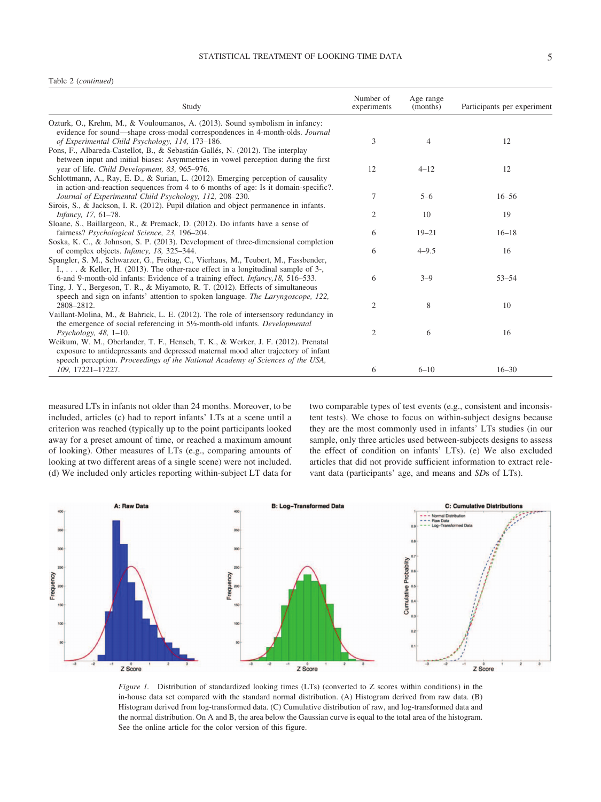Table 2 (*continued*)

| Study                                                                                                                                                                                                            | Number of<br>experiments | Age range<br>(months) | Participants per experiment |
|------------------------------------------------------------------------------------------------------------------------------------------------------------------------------------------------------------------|--------------------------|-----------------------|-----------------------------|
| Ozturk, O., Krehm, M., & Vouloumanos, A. (2013). Sound symbolism in infancy:<br>evidence for sound—shape cross-modal correspondences in 4-month-olds. Journal<br>of Experimental Child Psychology, 114, 173-186. | 3                        | 4                     | 12                          |
| Pons, F., Albareda-Castellot, B., & Sebastián-Gallés, N. (2012). The interplay                                                                                                                                   |                          |                       |                             |
| between input and initial biases: Asymmetries in vowel perception during the first                                                                                                                               |                          |                       |                             |
| year of life. Child Development, 83, 965-976.<br>Schlottmann, A., Ray, E. D., & Surian, L. (2012). Emerging perception of causality                                                                              | 12                       | $4 - 12$              | 12                          |
| in action-and-reaction sequences from 4 to 6 months of age: Is it domain-specific?.                                                                                                                              |                          |                       |                             |
| Journal of Experimental Child Psychology, 112, 208–230.                                                                                                                                                          | 7                        | $5 - 6$               | $16 - 56$                   |
| Sirois, S., & Jackson, I. R. $(2012)$ . Pupil dilation and object permanence in infants.<br><i>Infancy</i> , 17, 61–78.                                                                                          | $\mathfrak{2}$           | 10                    | 19                          |
| Sloane, S., Baillargeon, R., & Premack, D. (2012). Do infants have a sense of                                                                                                                                    |                          |                       |                             |
| fairness? Psychological Science, 23, 196-204.                                                                                                                                                                    | 6                        | $19 - 21$             | $16 - 18$                   |
| Soska, K. C., & Johnson, S. P. (2013). Development of three-dimensional completion                                                                                                                               | 6                        | $4 - 9.5$             | 16                          |
| of complex objects. <i>Infancy</i> , 18, 325–344.<br>Spangler, S. M., Schwarzer, G., Freitag, C., Vierhaus, M., Teubert, M., Fassbender,                                                                         |                          |                       |                             |
| I., $\ldots$ & Keller, H. (2013). The other-race effect in a longitudinal sample of 3-,                                                                                                                          |                          |                       |                             |
| 6-and 9-month-old infants: Evidence of a training effect. <i>Infancy</i> , 18, 516–533.                                                                                                                          | 6                        | $3 - 9$               | $53 - 54$                   |
| Ting, J. Y., Bergeson, T. R., & Miyamoto, R. T. (2012). Effects of simultaneous<br>speech and sign on infants' attention to spoken language. The Laryngoscope, 122,                                              |                          |                       |                             |
| 2808-2812.                                                                                                                                                                                                       | $\overline{2}$           | 8                     | 10                          |
| Vaillant-Molina, M., & Bahrick, L. E. (2012). The role of intersensory redundancy in                                                                                                                             |                          |                       |                             |
| the emergence of social referencing in 5½-month-old infants. Developmental                                                                                                                                       | $\mathfrak{2}$           | 6                     | 16                          |
| Psychology, $48$ , 1-10.<br>Weikum, W. M., Oberlander, T. F., Hensch, T. K., & Werker, J. F. (2012). Prenatal                                                                                                    |                          |                       |                             |
| exposure to antidepressants and depressed maternal mood alter trajectory of infant                                                                                                                               |                          |                       |                             |
| speech perception. Proceedings of the National Academy of Sciences of the USA,                                                                                                                                   |                          |                       |                             |
| 109, 17221-17227.                                                                                                                                                                                                | 6                        | $6 - 10$              | $16 - 30$                   |

measured LTs in infants not older than 24 months. Moreover, to be included, articles (c) had to report infants' LTs at a scene until a criterion was reached (typically up to the point participants looked away for a preset amount of time, or reached a maximum amount of looking). Other measures of LTs (e.g., comparing amounts of looking at two different areas of a single scene) were not included. (d) We included only articles reporting within-subject LT data for two comparable types of test events (e.g., consistent and inconsistent tests). We chose to focus on within-subject designs because they are the most commonly used in infants' LTs studies (in our sample, only three articles used between-subjects designs to assess the effect of condition on infants' LTs). (e) We also excluded articles that did not provide sufficient information to extract relevant data (participants' age, and means and *SD*s of LTs).



*Figure 1.* Distribution of standardized looking times (LTs) (converted to Z scores within conditions) in the in-house data set compared with the standard normal distribution. (A) Histogram derived from raw data. (B) Histogram derived from log-transformed data. (C) Cumulative distribution of raw, and log-transformed data and the normal distribution. On A and B, the area below the Gaussian curve is equal to the total area of the histogram. See the online article for the color version of this figure.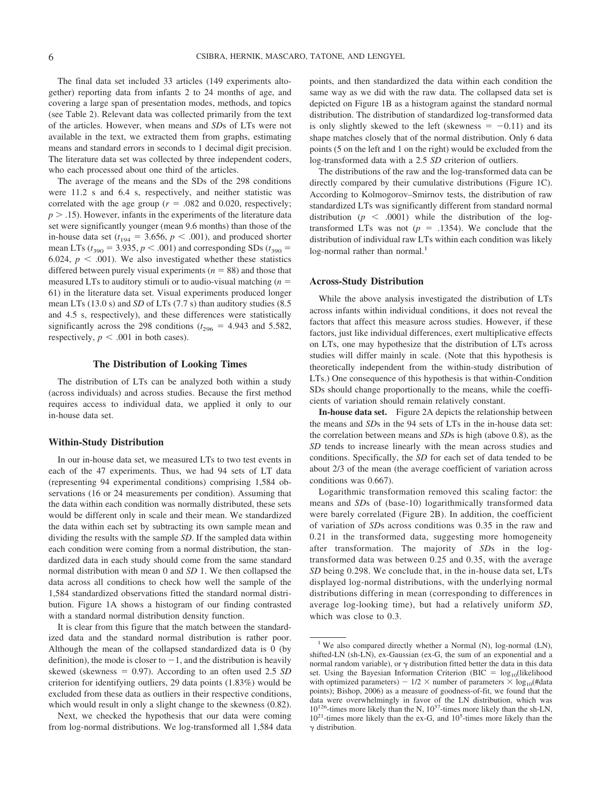The final data set included 33 articles (149 experiments altogether) reporting data from infants 2 to 24 months of age, and covering a large span of presentation modes, methods, and topics (see Table 2). Relevant data was collected primarily from the text of the articles. However, when means and *SD*s of LTs were not available in the text, we extracted them from graphs, estimating means and standard errors in seconds to 1 decimal digit precision. The literature data set was collected by three independent coders, who each processed about one third of the articles.

The average of the means and the SDs of the 298 conditions were 11.2 s and 6.4 s, respectively, and neither statistic was correlated with the age group ( $r = .082$  and 0.020, respectively;  $p > .15$ ). However, infants in the experiments of the literature data set were significantly younger (mean 9.6 months) than those of the in-house data set ( $t_{194}$  = 3.656,  $p < .001$ ), and produced shorter mean LTs ( $t_{390} = 3.935$ ,  $p < .001$ ) and corresponding SDs ( $t_{390} =$ 6.024,  $p < .001$ ). We also investigated whether these statistics differed between purely visual experiments ( $n = 88$ ) and those that measured LTs to auditory stimuli or to audio-visual matching  $(n =$ 61) in the literature data set. Visual experiments produced longer mean LTs (13.0 s) and *SD* of LTs (7.7 s) than auditory studies (8.5 and 4.5 s, respectively), and these differences were statistically significantly across the 298 conditions ( $t_{296}$  = 4.943 and 5.582, respectively,  $p < .001$  in both cases).

### **The Distribution of Looking Times**

The distribution of LTs can be analyzed both within a study (across individuals) and across studies. Because the first method requires access to individual data, we applied it only to our in-house data set.

#### **Within-Study Distribution**

In our in-house data set, we measured LTs to two test events in each of the 47 experiments. Thus, we had 94 sets of LT data (representing 94 experimental conditions) comprising 1,584 observations (16 or 24 measurements per condition). Assuming that the data within each condition was normally distributed, these sets would be different only in scale and their mean. We standardized the data within each set by subtracting its own sample mean and dividing the results with the sample *SD*. If the sampled data within each condition were coming from a normal distribution, the standardized data in each study should come from the same standard normal distribution with mean 0 and *SD* 1. We then collapsed the data across all conditions to check how well the sample of the 1,584 standardized observations fitted the standard normal distribution. Figure 1A shows a histogram of our finding contrasted with a standard normal distribution density function.

It is clear from this figure that the match between the standardized data and the standard normal distribution is rather poor. Although the mean of the collapsed standardized data is 0 (by definition), the mode is closer to  $-1$ , and the distribution is heavily skewed (skewness  $= 0.97$ ). According to an often used 2.5 *SD* criterion for identifying outliers, 29 data points (1.83%) would be excluded from these data as outliers in their respective conditions, which would result in only a slight change to the skewness (0.82).

Next, we checked the hypothesis that our data were coming from log-normal distributions. We log-transformed all 1,584 data points, and then standardized the data within each condition the same way as we did with the raw data. The collapsed data set is depicted on Figure 1B as a histogram against the standard normal distribution. The distribution of standardized log-transformed data is only slightly skewed to the left (skewness  $= -0.11$ ) and its shape matches closely that of the normal distribution. Only 6 data points (5 on the left and 1 on the right) would be excluded from the log-transformed data with a 2.5 *SD* criterion of outliers.

The distributions of the raw and the log-transformed data can be directly compared by their cumulative distributions (Figure 1C). According to Kolmogorov–Smirnov tests, the distribution of raw standardized LTs was significantly different from standard normal distribution ( $p \leq .0001$ ) while the distribution of the logtransformed LTs was not  $(p = .1354)$ . We conclude that the distribution of individual raw LTs within each condition was likely log-normal rather than normal.<sup>1</sup>

#### **Across-Study Distribution**

While the above analysis investigated the distribution of LTs across infants within individual conditions, it does not reveal the factors that affect this measure across studies. However, if these factors, just like individual differences, exert multiplicative effects on LTs, one may hypothesize that the distribution of LTs across studies will differ mainly in scale. (Note that this hypothesis is theoretically independent from the within-study distribution of LTs.) One consequence of this hypothesis is that within-Condition SDs should change proportionally to the means, while the coefficients of variation should remain relatively constant.

**In-house data set.** Figure 2A depicts the relationship between the means and *SD*s in the 94 sets of LTs in the in-house data set: the correlation between means and *SD*s is high (above 0.8), as the *SD* tends to increase linearly with the mean across studies and conditions. Specifically, the *SD* for each set of data tended to be about 2/3 of the mean (the average coefficient of variation across conditions was 0.667).

Logarithmic transformation removed this scaling factor: the means and *SD*s of (base-10) logarithmically transformed data were barely correlated (Figure 2B). In addition, the coefficient of variation of *SD*s across conditions was 0.35 in the raw and 0.21 in the transformed data, suggesting more homogeneity after transformation. The majority of *SD*s in the logtransformed data was between 0.25 and 0.35, with the average *SD* being 0.298. We conclude that, in the in-house data set, LTs displayed log-normal distributions, with the underlying normal distributions differing in mean (corresponding to differences in average log-looking time), but had a relatively uniform *SD*, which was close to 0.3.

<sup>&</sup>lt;sup>1</sup> We also compared directly whether a Normal (N), log-normal (LN), shifted-LN (sh-LN), ex-Gaussian (ex-G, the sum of an exponential and a normal random variable), or  $\gamma$  distribution fitted better the data in this data set. Using the Bayesian Information Criterion (BIC =  $log_{10}($ likelihood with optimized parameters)  $-1/2 \times$  number of parameters  $\times \log_{10}($ #data points); Bishop, 2006) as a measure of goodness-of-fit, we found that the data were overwhelmingly in favor of the LN distribution, which was  $10^{126}$ -times more likely than the N,  $10^{37}$ -times more likely than the sh-LN,  $10^{21}$ -times more likely than the ex-G, and  $10^5$ -times more likely than the  $\gamma$  distribution.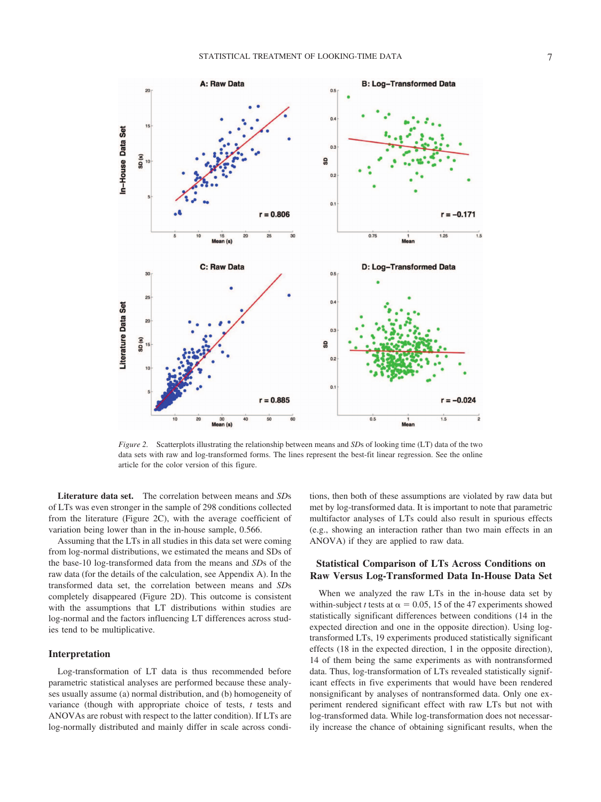

*Figure 2.* Scatterplots illustrating the relationship between means and *SD*s of looking time (LT) data of the two data sets with raw and log-transformed forms. The lines represent the best-fit linear regression. See the online article for the color version of this figure.

**Literature data set.** The correlation between means and *SD*s of LTs was even stronger in the sample of 298 conditions collected from the literature (Figure 2C), with the average coefficient of variation being lower than in the in-house sample, 0.566.

Assuming that the LTs in all studies in this data set were coming from log-normal distributions, we estimated the means and SDs of the base-10 log-transformed data from the means and *SD*s of the raw data (for the details of the calculation, see Appendix A). In the transformed data set, the correlation between means and *SD*s completely disappeared (Figure 2D). This outcome is consistent with the assumptions that LT distributions within studies are log-normal and the factors influencing LT differences across studies tend to be multiplicative.

#### **Interpretation**

Log-transformation of LT data is thus recommended before parametric statistical analyses are performed because these analyses usually assume (a) normal distribution, and (b) homogeneity of variance (though with appropriate choice of tests, *t* tests and ANOVAs are robust with respect to the latter condition). If LTs are log-normally distributed and mainly differ in scale across conditions, then both of these assumptions are violated by raw data but met by log-transformed data. It is important to note that parametric multifactor analyses of LTs could also result in spurious effects (e.g., showing an interaction rather than two main effects in an ANOVA) if they are applied to raw data.

#### **Statistical Comparison of LTs Across Conditions on Raw Versus Log-Transformed Data In-House Data Set**

When we analyzed the raw LTs in the in-house data set by within-subject *t* tests at  $\alpha = 0.05$ , 15 of the 47 experiments showed statistically significant differences between conditions (14 in the expected direction and one in the opposite direction). Using logtransformed LTs, 19 experiments produced statistically significant effects (18 in the expected direction, 1 in the opposite direction), 14 of them being the same experiments as with nontransformed data. Thus, log-transformation of LTs revealed statistically significant effects in five experiments that would have been rendered nonsignificant by analyses of nontransformed data. Only one experiment rendered significant effect with raw LTs but not with log-transformed data. While log-transformation does not necessarily increase the chance of obtaining significant results, when the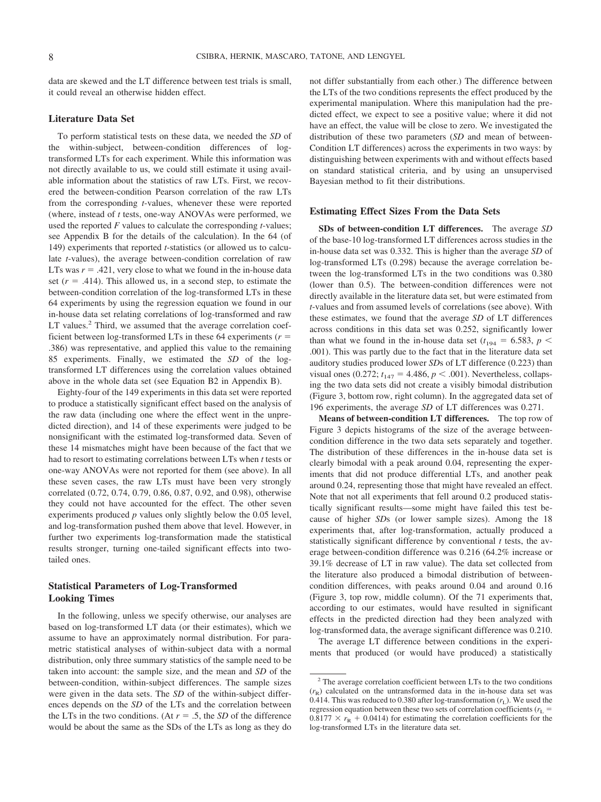data are skewed and the LT difference between test trials is small, it could reveal an otherwise hidden effect.

#### **Literature Data Set**

To perform statistical tests on these data, we needed the *SD* of the within-subject, between-condition differences of logtransformed LTs for each experiment. While this information was not directly available to us, we could still estimate it using available information about the statistics of raw LTs. First, we recovered the between-condition Pearson correlation of the raw LTs from the corresponding *t*-values, whenever these were reported (where, instead of *t* tests, one-way ANOVAs were performed, we used the reported *F* values to calculate the corresponding *t*-values; see Appendix B for the details of the calculation). In the 64 (of 149) experiments that reported *t*-statistics (or allowed us to calculate *t*-values), the average between-condition correlation of raw LTs was  $r = .421$ , very close to what we found in the in-house data set  $(r = .414)$ . This allowed us, in a second step, to estimate the between-condition correlation of the log-transformed LTs in these 64 experiments by using the regression equation we found in our in-house data set relating correlations of log-transformed and raw LT values.<sup>2</sup> Third, we assumed that the average correlation coefficient between  $log$ -transformed LTs in these 64 experiments ( $r =$ .386) was representative, and applied this value to the remaining 85 experiments. Finally, we estimated the *SD* of the logtransformed LT differences using the correlation values obtained above in the whole data set (see Equation B2 in Appendix B).

Eighty-four of the 149 experiments in this data set were reported to produce a statistically significant effect based on the analysis of the raw data (including one where the effect went in the unpredicted direction), and 14 of these experiments were judged to be nonsignificant with the estimated log-transformed data. Seven of these 14 mismatches might have been because of the fact that we had to resort to estimating correlations between LTs when *t* tests or one-way ANOVAs were not reported for them (see above). In all these seven cases, the raw LTs must have been very strongly correlated (0.72, 0.74, 0.79, 0.86, 0.87, 0.92, and 0.98), otherwise they could not have accounted for the effect. The other seven experiments produced *p* values only slightly below the 0.05 level, and log-transformation pushed them above that level. However, in further two experiments log-transformation made the statistical results stronger, turning one-tailed significant effects into twotailed ones.

#### **Statistical Parameters of Log-Transformed Looking Times**

In the following, unless we specify otherwise, our analyses are based on log-transformed LT data (or their estimates), which we assume to have an approximately normal distribution. For parametric statistical analyses of within-subject data with a normal distribution, only three summary statistics of the sample need to be taken into account: the sample size, and the mean and *SD* of the between-condition, within-subject differences. The sample sizes were given in the data sets. The *SD* of the within-subject differences depends on the *SD* of the LTs and the correlation between the LTs in the two conditions. (At  $r = .5$ , the *SD* of the difference would be about the same as the SDs of the LTs as long as they do not differ substantially from each other.) The difference between the LTs of the two conditions represents the effect produced by the experimental manipulation. Where this manipulation had the predicted effect, we expect to see a positive value; where it did not have an effect, the value will be close to zero. We investigated the distribution of these two parameters (*SD* and mean of between-Condition LT differences) across the experiments in two ways: by distinguishing between experiments with and without effects based on standard statistical criteria, and by using an unsupervised Bayesian method to fit their distributions.

#### **Estimating Effect Sizes From the Data Sets**

**SDs of between-condition LT differences.** The average *SD* of the base-10 log-transformed LT differences across studies in the in-house data set was 0.332. This is higher than the average *SD* of log-transformed LTs (0.298) because the average correlation between the log-transformed LTs in the two conditions was 0.380 (lower than 0.5). The between-condition differences were not directly available in the literature data set, but were estimated from *t*-values and from assumed levels of correlations (see above). With these estimates, we found that the average *SD* of LT differences across conditions in this data set was 0.252, significantly lower than what we found in the in-house data set ( $t_{194} = 6.583$ ,  $p <$ .001). This was partly due to the fact that in the literature data set auditory studies produced lower *SD*s of LT difference (0.223) than visual ones (0.272;  $t_{147} = 4.486$ ,  $p < .001$ ). Nevertheless, collapsing the two data sets did not create a visibly bimodal distribution (Figure 3, bottom row, right column). In the aggregated data set of 196 experiments, the average *SD* of LT differences was 0.271.

**Means of between-condition LT differences.** The top row of Figure 3 depicts histograms of the size of the average betweencondition difference in the two data sets separately and together. The distribution of these differences in the in-house data set is clearly bimodal with a peak around 0.04, representing the experiments that did not produce differential LTs, and another peak around 0.24, representing those that might have revealed an effect. Note that not all experiments that fell around 0.2 produced statistically significant results—some might have failed this test because of higher *SD*s (or lower sample sizes). Among the 18 experiments that, after log-transformation, actually produced a statistically significant difference by conventional *t* tests, the average between-condition difference was 0.216 (64.2% increase or 39.1% decrease of LT in raw value). The data set collected from the literature also produced a bimodal distribution of betweencondition differences, with peaks around 0.04 and around 0.16 (Figure 3, top row, middle column). Of the 71 experiments that, according to our estimates, would have resulted in significant effects in the predicted direction had they been analyzed with log-transformed data, the average significant difference was 0.210.

The average LT difference between conditions in the experiments that produced (or would have produced) a statistically

<sup>&</sup>lt;sup>2</sup> The average correlation coefficient between LTs to the two conditions  $(r_R)$  calculated on the untransformed data in the in-house data set was 0.414. This was reduced to 0.380 after log-transformation  $(r_L)$ . We used the regression equation between these two sets of correlation coefficients ( $r<sub>L</sub>$  =  $0.8177 \times r_R + 0.0414$ ) for estimating the correlation coefficients for the log-transformed LTs in the literature data set.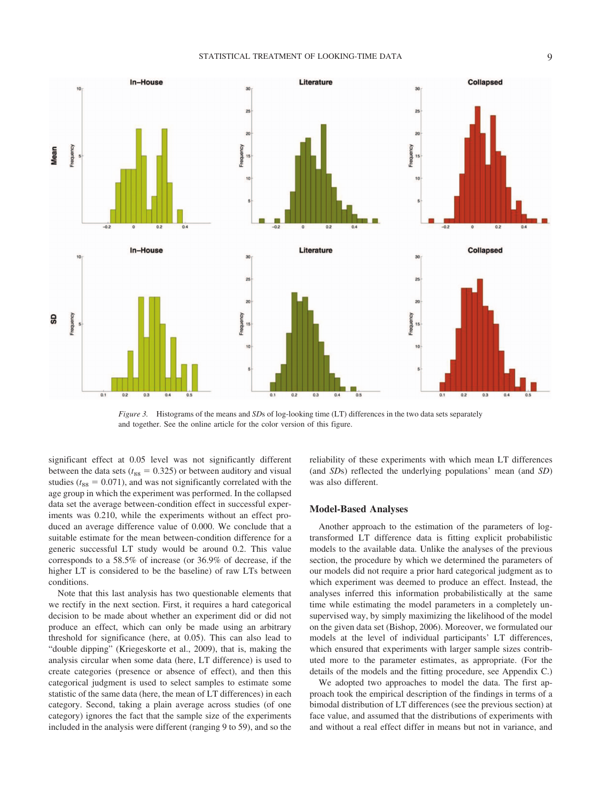

*Figure 3.* Histograms of the means and *SD*s of log-looking time (LT) differences in the two data sets separately and together. See the online article for the color version of this figure.

significant effect at 0.05 level was not significantly different between the data sets ( $t_{88} = 0.325$ ) or between auditory and visual studies ( $t_{88} = 0.071$ ), and was not significantly correlated with the age group in which the experiment was performed. In the collapsed data set the average between-condition effect in successful experiments was 0.210, while the experiments without an effect produced an average difference value of 0.000. We conclude that a suitable estimate for the mean between-condition difference for a generic successful LT study would be around 0.2. This value corresponds to a 58.5% of increase (or 36.9% of decrease, if the higher LT is considered to be the baseline) of raw LTs between conditions.

Note that this last analysis has two questionable elements that we rectify in the next section. First, it requires a hard categorical decision to be made about whether an experiment did or did not produce an effect, which can only be made using an arbitrary threshold for significance (here, at 0.05). This can also lead to "double dipping" (Kriegeskorte et al., 2009), that is, making the analysis circular when some data (here, LT difference) is used to create categories (presence or absence of effect), and then this categorical judgment is used to select samples to estimate some statistic of the same data (here, the mean of LT differences) in each category. Second, taking a plain average across studies (of one category) ignores the fact that the sample size of the experiments included in the analysis were different (ranging 9 to 59), and so the

reliability of these experiments with which mean LT differences (and *SD*s) reflected the underlying populations' mean (and *SD*) was also different.

#### **Model-Based Analyses**

Another approach to the estimation of the parameters of logtransformed LT difference data is fitting explicit probabilistic models to the available data. Unlike the analyses of the previous section, the procedure by which we determined the parameters of our models did not require a prior hard categorical judgment as to which experiment was deemed to produce an effect. Instead, the analyses inferred this information probabilistically at the same time while estimating the model parameters in a completely unsupervised way, by simply maximizing the likelihood of the model on the given data set (Bishop, 2006). Moreover, we formulated our models at the level of individual participants' LT differences, which ensured that experiments with larger sample sizes contributed more to the parameter estimates, as appropriate. (For the details of the models and the fitting procedure, see Appendix C.)

We adopted two approaches to model the data. The first approach took the empirical description of the findings in terms of a bimodal distribution of LT differences (see the previous section) at face value, and assumed that the distributions of experiments with and without a real effect differ in means but not in variance, and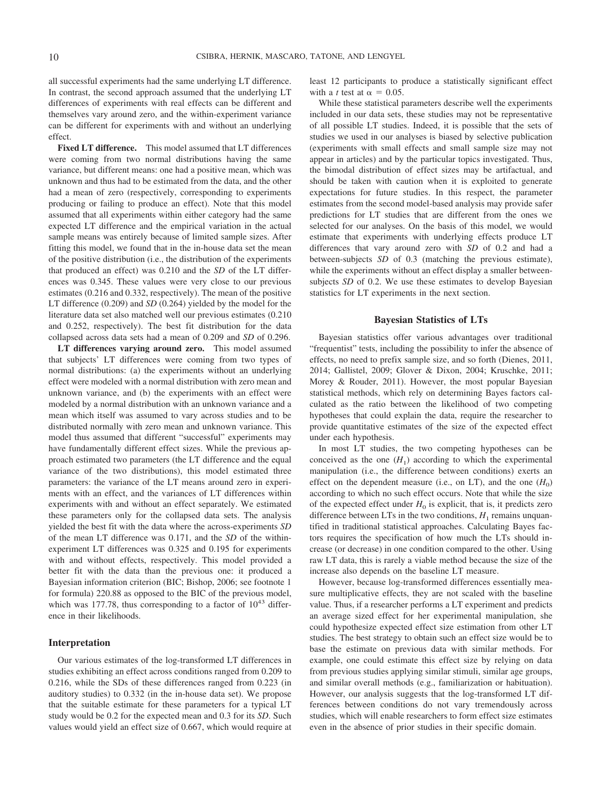all successful experiments had the same underlying LT difference. In contrast, the second approach assumed that the underlying LT differences of experiments with real effects can be different and themselves vary around zero, and the within-experiment variance can be different for experiments with and without an underlying effect.

**Fixed LT difference.** This model assumed that LT differences were coming from two normal distributions having the same variance, but different means: one had a positive mean, which was unknown and thus had to be estimated from the data, and the other had a mean of zero (respectively, corresponding to experiments producing or failing to produce an effect). Note that this model assumed that all experiments within either category had the same expected LT difference and the empirical variation in the actual sample means was entirely because of limited sample sizes. After fitting this model, we found that in the in-house data set the mean of the positive distribution (i.e., the distribution of the experiments that produced an effect) was 0.210 and the *SD* of the LT differences was 0.345. These values were very close to our previous estimates (0.216 and 0.332, respectively). The mean of the positive LT difference (0.209) and *SD* (0.264) yielded by the model for the literature data set also matched well our previous estimates (0.210 and 0.252, respectively). The best fit distribution for the data collapsed across data sets had a mean of 0.209 and *SD* of 0.296.

**LT differences varying around zero.** This model assumed that subjects' LT differences were coming from two types of normal distributions: (a) the experiments without an underlying effect were modeled with a normal distribution with zero mean and unknown variance, and (b) the experiments with an effect were modeled by a normal distribution with an unknown variance and a mean which itself was assumed to vary across studies and to be distributed normally with zero mean and unknown variance. This model thus assumed that different "successful" experiments may have fundamentally different effect sizes. While the previous approach estimated two parameters (the LT difference and the equal variance of the two distributions), this model estimated three parameters: the variance of the LT means around zero in experiments with an effect, and the variances of LT differences within experiments with and without an effect separately. We estimated these parameters only for the collapsed data sets. The analysis yielded the best fit with the data where the across-experiments *SD* of the mean LT difference was 0.171, and the *SD* of the withinexperiment LT differences was 0.325 and 0.195 for experiments with and without effects, respectively. This model provided a better fit with the data than the previous one: it produced a Bayesian information criterion (BIC; Bishop, 2006; see footnote 1 for formula) 220.88 as opposed to the BIC of the previous model, which was 177.78, thus corresponding to a factor of  $10^{43}$  difference in their likelihoods.

#### **Interpretation**

Our various estimates of the log-transformed LT differences in studies exhibiting an effect across conditions ranged from 0.209 to 0.216, while the SDs of these differences ranged from 0.223 (in auditory studies) to 0.332 (in the in-house data set). We propose that the suitable estimate for these parameters for a typical LT study would be 0.2 for the expected mean and 0.3 for its *SD*. Such values would yield an effect size of 0.667, which would require at least 12 participants to produce a statistically significant effect with a *t* test at  $\alpha = 0.05$ .

While these statistical parameters describe well the experiments included in our data sets, these studies may not be representative of all possible LT studies. Indeed, it is possible that the sets of studies we used in our analyses is biased by selective publication (experiments with small effects and small sample size may not appear in articles) and by the particular topics investigated. Thus, the bimodal distribution of effect sizes may be artifactual, and should be taken with caution when it is exploited to generate expectations for future studies. In this respect, the parameter estimates from the second model-based analysis may provide safer predictions for LT studies that are different from the ones we selected for our analyses. On the basis of this model, we would estimate that experiments with underlying effects produce LT differences that vary around zero with *SD* of 0.2 and had a between-subjects *SD* of 0.3 (matching the previous estimate), while the experiments without an effect display a smaller betweensubjects *SD* of 0.2. We use these estimates to develop Bayesian statistics for LT experiments in the next section.

#### **Bayesian Statistics of LTs**

Bayesian statistics offer various advantages over traditional "frequentist" tests, including the possibility to infer the absence of effects, no need to prefix sample size, and so forth (Dienes, 2011, 2014; Gallistel, 2009; Glover & Dixon, 2004; Kruschke, 2011; Morey & Rouder, 2011). However, the most popular Bayesian statistical methods, which rely on determining Bayes factors calculated as the ratio between the likelihood of two competing hypotheses that could explain the data, require the researcher to provide quantitative estimates of the size of the expected effect under each hypothesis.

In most LT studies, the two competing hypotheses can be conceived as the one  $(H_1)$  according to which the experimental manipulation (i.e., the difference between conditions) exerts an effect on the dependent measure (i.e., on LT), and the one  $(H_0)$ according to which no such effect occurs. Note that while the size of the expected effect under  $H_0$  is explicit, that is, it predicts zero difference between LTs in the two conditions,  $H_1$  remains unquantified in traditional statistical approaches. Calculating Bayes factors requires the specification of how much the LTs should increase (or decrease) in one condition compared to the other. Using raw LT data, this is rarely a viable method because the size of the increase also depends on the baseline LT measure.

However, because log-transformed differences essentially measure multiplicative effects, they are not scaled with the baseline value. Thus, if a researcher performs a LT experiment and predicts an average sized effect for her experimental manipulation, she could hypothesize expected effect size estimation from other LT studies. The best strategy to obtain such an effect size would be to base the estimate on previous data with similar methods. For example, one could estimate this effect size by relying on data from previous studies applying similar stimuli, similar age groups, and similar overall methods (e.g., familiarization or habituation). However, our analysis suggests that the log-transformed LT differences between conditions do not vary tremendously across studies, which will enable researchers to form effect size estimates even in the absence of prior studies in their specific domain.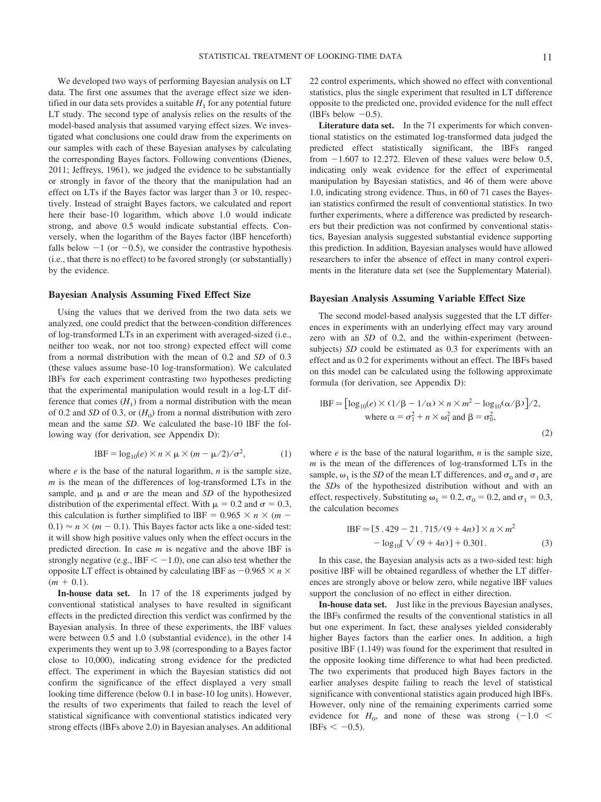We developed two ways of performing Bayesian analysis on LT data. The first one assumes that the average effect size we identified in our data sets provides a suitable  $H_1$  for any potential future LT study. The second type of analysis relies on the results of the model-based analysis that assumed varying effect sizes. We investigated what conclusions one could draw from the experiments on our samples with each of these Bayesian analyses by calculating the corresponding Bayes factors. Following conventions (Dienes, 2011; Jeffreys, 1961), we judged the evidence to be substantially or strongly in favor of the theory that the manipulation had an effect on LTs if the Bayes factor was larger than 3 or 10, respectively. Instead of straight Bayes factors, we calculated and report here their base-10 logarithm, which above 1.0 would indicate strong, and above 0.5 would indicate substantial effects. Conversely, when the logarithm of the Bayes factor (lBF henceforth) falls below  $-1$  (or  $-0.5$ ), we consider the contrastive hypothesis (i.e., that there is no effect) to be favored strongly (or substantially) by the evidence.

#### **Bayesian Analysis Assuming Fixed Effect Size**

Using the values that we derived from the two data sets we analyzed, one could predict that the between-condition differences of log-transformed LTs in an experiment with averaged-sized (i.e., neither too weak, nor not too strong) expected effect will come from a normal distribution with the mean of 0.2 and *SD* of 0.3 (these values assume base-10 log-transformation). We calculated lBFs for each experiment contrasting two hypotheses predicting that the experimental manipulation would result in a log-LT difference that comes  $(H_1)$  from a normal distribution with the mean of 0.2 and *SD* of 0.3, or  $(H_0)$  from a normal distribution with zero mean and the same *SD*. We calculated the base-10 lBF the following way (for derivation, see Appendix D):

$$
IBF = \log_{10}(e) \times n \times \mu \times (m - \mu/2)/\sigma^2, \tag{1}
$$

where *e* is the base of the natural logarithm, *n* is the sample size, *m* is the mean of the differences of log-transformed LTs in the sample, and  $\mu$  and  $\sigma$  are the mean and *SD* of the hypothesized distribution of the experimental effect. With  $\mu = 0.2$  and  $\sigma = 0.3$ , this calculation is further simplified to IBF  $= 0.965 \times n \times (m (0.1) \approx n \times (m - 0.1)$ . This Bayes factor acts like a one-sided test: it will show high positive values only when the effect occurs in the predicted direction. In case *m* is negative and the above lBF is strongly negative (e.g.,  $IBF < -1.0$ ), one can also test whether the opposite LT effect is obtained by calculating IBF as  $-0.965 \times n \times$  $(m + 0.1).$ 

**In-house data set.** In 17 of the 18 experiments judged by conventional statistical analyses to have resulted in significant effects in the predicted direction this verdict was confirmed by the Bayesian analysis. In three of these experiments, the lBF values were between 0.5 and 1.0 (substantial evidence), in the other 14 experiments they went up to 3.98 (corresponding to a Bayes factor close to 10,000), indicating strong evidence for the predicted effect. The experiment in which the Bayesian statistics did not confirm the significance of the effect displayed a very small looking time difference (below 0.1 in base-10 log units). However, the results of two experiments that failed to reach the level of statistical significance with conventional statistics indicated very strong effects (lBFs above 2.0) in Bayesian analyses. An additional

22 control experiments, which showed no effect with conventional statistics, plus the single experiment that resulted in LT difference opposite to the predicted one, provided evidence for the null effect (IBFs below  $-0.5$ ).

**Literature data set.** In the 71 experiments for which conventional statistics on the estimated log-transformed data judged the predicted effect statistically significant, the lBFs ranged from  $-1.607$  to 12.272. Eleven of these values were below 0.5, indicating only weak evidence for the effect of experimental manipulation by Bayesian statistics, and 46 of them were above 1.0, indicating strong evidence. Thus, in 60 of 71 cases the Bayesian statistics confirmed the result of conventional statistics. In two further experiments, where a difference was predicted by researchers but their prediction was not confirmed by conventional statistics, Bayesian analysis suggested substantial evidence supporting this prediction. In addition, Bayesian analyses would have allowed researchers to infer the absence of effect in many control experiments in the literature data set (see the Supplementary Material).

#### **Bayesian Analysis Assuming Variable Effect Size**

The second model-based analysis suggested that the LT differences in experiments with an underlying effect may vary around zero with an *SD* of 0.2, and the within-experiment (betweensubjects) *SD* could be estimated as 0.3 for experiments with an effect and as 0.2 for experiments without an effect. The lBFs based on this model can be calculated using the following approximate formula (for derivation, see Appendix D):

$$
IBF \approx \left[\log_{10}(e) \times (1/\beta - 1/\alpha) \times n \times m^2 - \log_{10}(\alpha/\beta)\right]/2,
$$
  
where  $\alpha = \sigma_1^2 + n \times \omega_1^2$  and  $\beta = \sigma_0^2$ , (2)

where *e* is the base of the natural logarithm, *n* is the sample size, *m* is the mean of the differences of log-transformed LTs in the sample,  $\omega_1$  is the *SD* of the mean LT differences, and  $\sigma_0$  and  $\sigma_1$  are the *SD*s of the hypothesized distribution without and with an effect, respectively. Substituting  $\omega_1 = 0.2$ ,  $\sigma_0 = 0.2$ , and  $\sigma_1 = 0.3$ , the calculation becomes

$$
IBF \approx [5.429 - 21.715/(9 + 4n)] \times n \times m^2
$$
  
- log<sub>10</sub>[ $\sqrt{(9 + 4n)}$ ] + 0.301. (3)

In this case, the Bayesian analysis acts as a two-sided test: high positive lBF will be obtained regardless of whether the LT differences are strongly above or below zero, while negative lBF values support the conclusion of no effect in either direction.

**In-house data set.** Just like in the previous Bayesian analyses, the lBFs confirmed the results of the conventional statistics in all but one experiment. In fact, these analyses yielded considerably higher Bayes factors than the earlier ones. In addition, a high positive lBF (1.149) was found for the experiment that resulted in the opposite looking time difference to what had been predicted. The two experiments that produced high Bayes factors in the earlier analyses despite failing to reach the level of statistical significance with conventional statistics again produced high lBFs. However, only nine of the remaining experiments carried some evidence for  $H_0$ , and none of these was strong  $(-1.0 <$  $lBFs < -0.5$ ).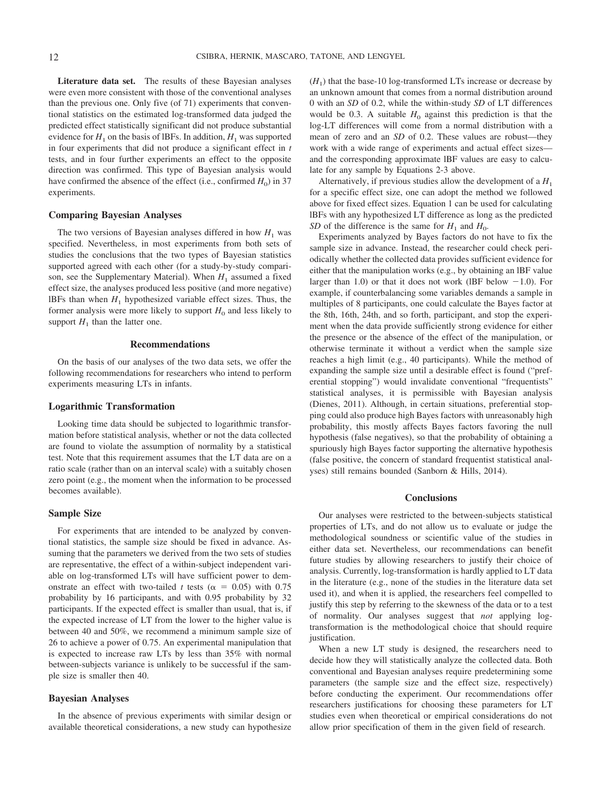**Literature data set.** The results of these Bayesian analyses were even more consistent with those of the conventional analyses than the previous one. Only five (of 71) experiments that conventional statistics on the estimated log-transformed data judged the predicted effect statistically significant did not produce substantial evidence for  $H_1$  on the basis of lBFs. In addition,  $H_1$  was supported in four experiments that did not produce a significant effect in *t* tests, and in four further experiments an effect to the opposite direction was confirmed. This type of Bayesian analysis would have confirmed the absence of the effect (i.e., confirmed  $H_0$ ) in 37 experiments.

#### **Comparing Bayesian Analyses**

The two versions of Bayesian analyses differed in how  $H_1$  was specified. Nevertheless, in most experiments from both sets of studies the conclusions that the two types of Bayesian statistics supported agreed with each other (for a study-by-study comparison, see the Supplementary Material). When  $H_1$  assumed a fixed effect size, the analyses produced less positive (and more negative) lBFs than when  $H_1$  hypothesized variable effect sizes. Thus, the former analysis were more likely to support  $H_0$  and less likely to support  $H_1$  than the latter one.

#### **Recommendations**

On the basis of our analyses of the two data sets, we offer the following recommendations for researchers who intend to perform experiments measuring LTs in infants.

#### **Logarithmic Transformation**

Looking time data should be subjected to logarithmic transformation before statistical analysis, whether or not the data collected are found to violate the assumption of normality by a statistical test. Note that this requirement assumes that the LT data are on a ratio scale (rather than on an interval scale) with a suitably chosen zero point (e.g., the moment when the information to be processed becomes available).

### **Sample Size**

For experiments that are intended to be analyzed by conventional statistics, the sample size should be fixed in advance. Assuming that the parameters we derived from the two sets of studies are representative, the effect of a within-subject independent variable on log-transformed LTs will have sufficient power to demonstrate an effect with two-tailed *t* tests ( $\alpha = 0.05$ ) with 0.75 probability by 16 participants, and with 0.95 probability by 32 participants. If the expected effect is smaller than usual, that is, if the expected increase of LT from the lower to the higher value is between 40 and 50%, we recommend a minimum sample size of 26 to achieve a power of 0.75. An experimental manipulation that is expected to increase raw LTs by less than 35% with normal between-subjects variance is unlikely to be successful if the sample size is smaller then 40.

#### **Bayesian Analyses**

In the absence of previous experiments with similar design or available theoretical considerations, a new study can hypothesize

 $(H<sub>1</sub>)$  that the base-10 log-transformed LTs increase or decrease by an unknown amount that comes from a normal distribution around 0 with an *SD* of 0.2, while the within-study *SD* of LT differences would be 0.3. A suitable  $H_0$  against this prediction is that the log-LT differences will come from a normal distribution with a mean of zero and an *SD* of 0.2. These values are robust—they work with a wide range of experiments and actual effect sizes and the corresponding approximate lBF values are easy to calculate for any sample by Equations 2-3 above.

Alternatively, if previous studies allow the development of a  $H_1$ for a specific effect size, one can adopt the method we followed above for fixed effect sizes. Equation 1 can be used for calculating lBFs with any hypothesized LT difference as long as the predicted *SD* of the difference is the same for  $H_1$  and  $H_0$ .

Experiments analyzed by Bayes factors do not have to fix the sample size in advance. Instead, the researcher could check periodically whether the collected data provides sufficient evidence for either that the manipulation works (e.g., by obtaining an lBF value larger than 1.0) or that it does not work (IBF below  $-1.0$ ). For example, if counterbalancing some variables demands a sample in multiples of 8 participants, one could calculate the Bayes factor at the 8th, 16th, 24th, and so forth, participant, and stop the experiment when the data provide sufficiently strong evidence for either the presence or the absence of the effect of the manipulation, or otherwise terminate it without a verdict when the sample size reaches a high limit (e.g., 40 participants). While the method of expanding the sample size until a desirable effect is found ("preferential stopping") would invalidate conventional "frequentists" statistical analyses, it is permissible with Bayesian analysis (Dienes, 2011). Although, in certain situations, preferential stopping could also produce high Bayes factors with unreasonably high probability, this mostly affects Bayes factors favoring the null hypothesis (false negatives), so that the probability of obtaining a spuriously high Bayes factor supporting the alternative hypothesis (false positive, the concern of standard frequentist statistical analyses) still remains bounded (Sanborn & Hills, 2014).

#### **Conclusions**

Our analyses were restricted to the between-subjects statistical properties of LTs, and do not allow us to evaluate or judge the methodological soundness or scientific value of the studies in either data set. Nevertheless, our recommendations can benefit future studies by allowing researchers to justify their choice of analysis. Currently, log-transformation is hardly applied to LT data in the literature (e.g., none of the studies in the literature data set used it), and when it is applied, the researchers feel compelled to justify this step by referring to the skewness of the data or to a test of normality. Our analyses suggest that *not* applying logtransformation is the methodological choice that should require justification.

When a new LT study is designed, the researchers need to decide how they will statistically analyze the collected data. Both conventional and Bayesian analyses require predetermining some parameters (the sample size and the effect size, respectively) before conducting the experiment. Our recommendations offer researchers justifications for choosing these parameters for LT studies even when theoretical or empirical considerations do not allow prior specification of them in the given field of research.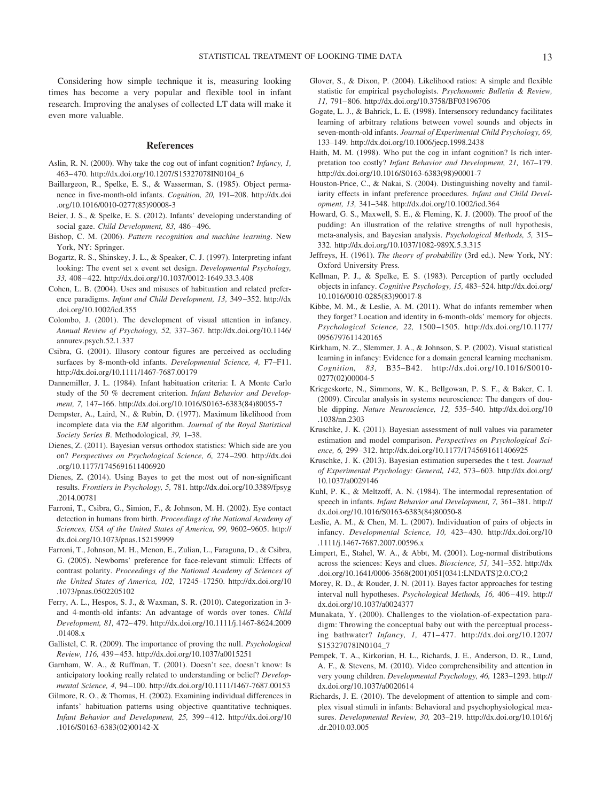Considering how simple technique it is, measuring looking times has become a very popular and flexible tool in infant research. Improving the analyses of collected LT data will make it even more valuable.

#### **References**

- Aslin, R. N. (2000). Why take the cog out of infant cognition? *Infancy, 1,* 463– 470. http://dx.doi.org/10.1207/S15327078IN0104\_6
- Baillargeon, R., Spelke, E. S., & Wasserman, S. (1985). Object permanence in five-month-old infants. *Cognition, 20,* 191–208. http://dx.doi .org/10.1016/0010-0277(85)90008-3
- Beier, J. S., & Spelke, E. S. (2012). Infants' developing understanding of social gaze. *Child Development, 83,* 486 – 496.
- Bishop, C. M. (2006). *Pattern recognition and machine learning*. New York, NY: Springer.
- Bogartz, R. S., Shinskey, J. L., & Speaker, C. J. (1997). Interpreting infant looking: The event set x event set design. *Developmental Psychology, 33,* 408 – 422. http://dx.doi.org/10.1037/0012-1649.33.3.408
- Cohen, L. B. (2004). Uses and misuses of habituation and related preference paradigms. *Infant and Child Development, 13,* 349 –352. http://dx .doi.org/10.1002/icd.355
- Colombo, J. (2001). The development of visual attention in infancy. *Annual Review of Psychology, 52,* 337–367. http://dx.doi.org/10.1146/ annurev.psych.52.1.337
- Csibra, G. (2001). Illusory contour figures are perceived as occluding surfaces by 8-month-old infants. *Developmental Science, 4,* F7–F11. http://dx.doi.org/10.1111/1467-7687.00179
- Dannemiller, J. L. (1984). Infant habituation criteria: I. A Monte Carlo study of the 50 % decrement criterion. *Infant Behavior and Development, 7,* 147–166. http://dx.doi.org/10.1016/S0163-6383(84)80055-7
- Dempster, A., Laird, N., & Rubin, D. (1977). Maximum likelihood from incomplete data via the *EM* algorithm. *Journal of the Royal Statistical Society Series B*. Methodological, *39,* 1–38.
- Dienes, Z. (2011). Bayesian versus orthodox statistics: Which side are you on? *Perspectives on Psychological Science, 6,* 274 –290. http://dx.doi .org/10.1177/1745691611406920
- Dienes, Z. (2014). Using Bayes to get the most out of non-significant results. *Frontiers in Psychology, 5,* 781. http://dx.doi.org/10.3389/fpsyg .2014.00781
- Farroni, T., Csibra, G., Simion, F., & Johnson, M. H. (2002). Eye contact detection in humans from birth. *Proceedings of the National Academy of Sciences, USA of the United States of America, 99,* 9602–9605. http:// dx.doi.org/10.1073/pnas.152159999
- Farroni, T., Johnson, M. H., Menon, E., Zulian, L., Faraguna, D., & Csibra, G. (2005). Newborns' preference for face-relevant stimuli: Effects of contrast polarity. *Proceedings of the National Academy of Sciences of the United States of America, 102,* 17245–17250. http://dx.doi.org/10 .1073/pnas.0502205102
- Ferry, A. L., Hespos, S. J., & Waxman, S. R. (2010). Categorization in 3 and 4-month-old infants: An advantage of words over tones. *Child Development, 81,* 472– 479. http://dx.doi.org/10.1111/j.1467-8624.2009 .01408.x
- Gallistel, C. R. (2009). The importance of proving the null. *Psychological Review, 116,* 439 – 453. http://dx.doi.org/10.1037/a0015251
- Garnham, W. A., & Ruffman, T. (2001). Doesn't see, doesn't know: Is anticipatory looking really related to understanding or belief? *Developmental Science, 4,* 94 –100. http://dx.doi.org/10.1111/1467-7687.00153
- Gilmore, R. O., & Thomas, H. (2002). Examining individual differences in infants' habituation patterns using objective quantitative techniques. *Infant Behavior and Development, 25,* 399 – 412. http://dx.doi.org/10 .1016/S0163-6383(02)00142-X
- Glover, S., & Dixon, P. (2004). Likelihood ratios: A simple and flexible statistic for empirical psychologists. *Psychonomic Bulletin & Review, 11,* 791– 806. http://dx.doi.org/10.3758/BF03196706
- Gogate, L. J., & Bahrick, L. E. (1998). Intersensory redundancy facilitates learning of arbitrary relations between vowel sounds and objects in seven-month-old infants. *Journal of Experimental Child Psychology, 69,* 133–149. http://dx.doi.org/10.1006/jecp.1998.2438
- Haith, M. M. (1998). Who put the cog in infant cognition? Is rich interpretation too costly? *Infant Behavior and Development, 21,* 167–179. http://dx.doi.org/10.1016/S0163-6383(98)90001-7
- Houston-Price, C., & Nakai, S. (2004). Distinguishing novelty and familiarity effects in infant preference procedures. *Infant and Child Development, 13,* 341–348. http://dx.doi.org/10.1002/icd.364
- Howard, G. S., Maxwell, S. E., & Fleming, K. J. (2000). The proof of the pudding: An illustration of the relative strengths of null hypothesis, meta-analysis, and Bayesian analysis. *Psychological Methods, 5,* 315– 332. http://dx.doi.org/10.1037/1082-989X.5.3.315
- Jeffreys, H. (1961). *The theory of probability* (3rd ed.). New York, NY: Oxford University Press.
- Kellman, P. J., & Spelke, E. S. (1983). Perception of partly occluded objects in infancy. *Cognitive Psychology, 15,* 483–524. http://dx.doi.org/ 10.1016/0010-0285(83)90017-8
- Kibbe, M. M., & Leslie, A. M. (2011). What do infants remember when they forget? Location and identity in 6-month-olds' memory for objects. *Psychological Science, 22,* 1500 –1505. http://dx.doi.org/10.1177/ 0956797611420165
- Kirkham, N. Z., Slemmer, J. A., & Johnson, S. P. (2002). Visual statistical learning in infancy: Evidence for a domain general learning mechanism. *Cognition, 83,* B35–B42. http://dx.doi.org/10.1016/S0010- 0277(02)00004-5
- Kriegeskorte, N., Simmons, W. K., Bellgowan, P. S. F., & Baker, C. I. (2009). Circular analysis in systems neuroscience: The dangers of double dipping. *Nature Neuroscience, 12,* 535–540. http://dx.doi.org/10 .1038/nn.2303
- Kruschke, J. K. (2011). Bayesian assessment of null values via parameter estimation and model comparison. *Perspectives on Psychological Science, 6,* 299 –312. http://dx.doi.org/10.1177/1745691611406925
- Kruschke, J. K. (2013). Bayesian estimation supersedes the t test. *Journal of Experimental Psychology: General, 142,* 573– 603. http://dx.doi.org/ 10.1037/a0029146
- Kuhl, P. K., & Meltzoff, A. N. (1984). The intermodal representation of speech in infants. *Infant Behavior and Development, 7,* 361–381. http:// dx.doi.org/10.1016/S0163-6383(84)80050-8
- Leslie, A. M., & Chen, M. L. (2007). Individuation of pairs of objects in infancy. *Developmental Science, 10,* 423– 430. http://dx.doi.org/10 .1111/j.1467-7687.2007.00596.x
- Limpert, E., Stahel, W. A., & Abbt, M. (2001). Log-normal distributions across the sciences: Keys and clues. *Bioscience, 51,* 341–352. http://dx .doi.org/10.1641/0006-3568(2001)051[0341:LNDATS]2.0.CO;2
- Morey, R. D., & Rouder, J. N. (2011). Bayes factor approaches for testing interval null hypotheses. *Psychological Methods, 16,* 406 – 419. http:// dx.doi.org/10.1037/a0024377
- Munakata, Y. (2000). Challenges to the violation-of-expectation paradigm: Throwing the conceptual baby out with the perceptual processing bathwater? *Infancy, 1,* 471– 477. http://dx.doi.org/10.1207/ S15327078IN0104\_7
- Pempek, T. A., Kirkorian, H. L., Richards, J. E., Anderson, D. R., Lund, A. F., & Stevens, M. (2010). Video comprehensibility and attention in very young children. *Developmental Psychology, 46,* 1283–1293. http:// dx.doi.org/10.1037/a0020614
- Richards, J. E. (2010). The development of attention to simple and complex visual stimuli in infants: Behavioral and psychophysiological measures. *Developmental Review, 30,* 203–219. http://dx.doi.org/10.1016/j .dr.2010.03.005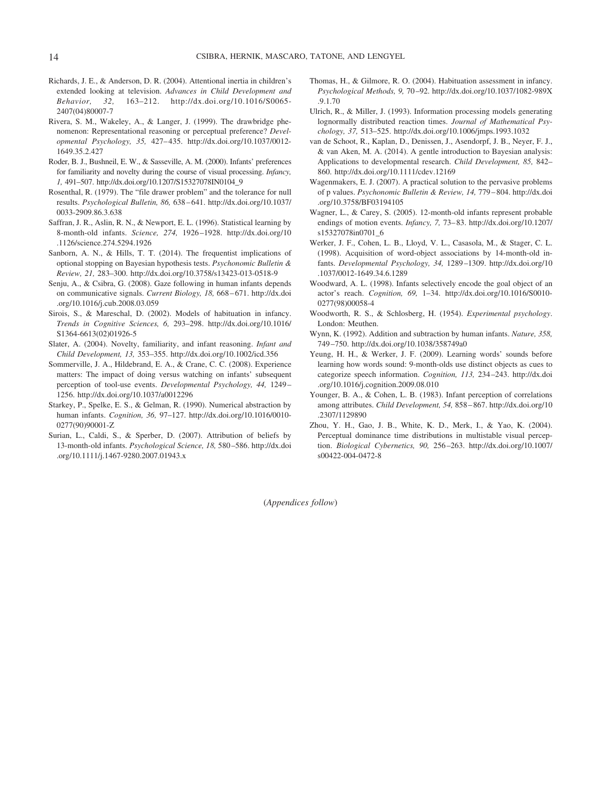- Richards, J. E., & Anderson, D. R. (2004). Attentional inertia in children's extended looking at television. *Advances in Child Development and Behavior, 32,* 163–212. http://dx.doi.org/10.1016/S0065- 2407(04)80007-7
- Rivera, S. M., Wakeley, A., & Langer, J. (1999). The drawbridge phenomenon: Representational reasoning or perceptual preference? *Developmental Psychology, 35,* 427– 435. http://dx.doi.org/10.1037/0012- 1649.35.2.427
- Roder, B. J., Bushneil, E. W., & Sasseville, A. M. (2000). Infants' preferences for familiarity and novelty during the course of visual processing. *Infancy, 1,* 491–507. http://dx.doi.org/10.1207/S15327078IN0104\_9
- Rosenthal, R. (1979). The "file drawer problem" and the tolerance for null results. *Psychological Bulletin, 86,* 638 – 641. http://dx.doi.org/10.1037/ 0033-2909.86.3.638
- Saffran, J. R., Aslin, R. N., & Newport, E. L. (1996). Statistical learning by 8-month-old infants. *Science, 274,* 1926 –1928. http://dx.doi.org/10 .1126/science.274.5294.1926
- Sanborn, A. N., & Hills, T. T. (2014). The frequentist implications of optional stopping on Bayesian hypothesis tests. *Psychonomic Bulletin & Review, 21,* 283–300. http://dx.doi.org/10.3758/s13423-013-0518-9
- Senju, A., & Csibra, G. (2008). Gaze following in human infants depends on communicative signals. *Current Biology, 18,* 668 – 671. http://dx.doi .org/10.1016/j.cub.2008.03.059
- Sirois, S., & Mareschal, D. (2002). Models of habituation in infancy. *Trends in Cognitive Sciences, 6,* 293–298. http://dx.doi.org/10.1016/ S1364-6613(02)01926-5
- Slater, A. (2004). Novelty, familiarity, and infant reasoning. *Infant and Child Development, 13,* 353–355. http://dx.doi.org/10.1002/icd.356
- Sommerville, J. A., Hildebrand, E. A., & Crane, C. C. (2008). Experience matters: The impact of doing versus watching on infants' subsequent perception of tool-use events. *Developmental Psychology, 44,* 1249 – 1256. http://dx.doi.org/10.1037/a0012296
- Starkey, P., Spelke, E. S., & Gelman, R. (1990). Numerical abstraction by human infants. *Cognition, 36,* 97–127. http://dx.doi.org/10.1016/0010- 0277(90)90001-Z
- Surian, L., Caldi, S., & Sperber, D. (2007). Attribution of beliefs by 13-month-old infants. *Psychological Science, 18,* 580 –586. http://dx.doi .org/10.1111/j.1467-9280.2007.01943.x
- Thomas, H., & Gilmore, R. O. (2004). Habituation assessment in infancy. *Psychological Methods, 9,* 70 –92. http://dx.doi.org/10.1037/1082-989X .9.1.70
- Ulrich, R., & Miller, J. (1993). Information processing models generating lognormally distributed reaction times. *Journal of Mathematical Psychology, 37,* 513–525. http://dx.doi.org/10.1006/jmps.1993.1032
- van de Schoot, R., Kaplan, D., Denissen, J., Asendorpf, J. B., Neyer, F. J., & van Aken, M. A. (2014). A gentle introduction to Bayesian analysis: Applications to developmental research. *Child Development, 85,* 842– 860. http://dx.doi.org/10.1111/cdev.12169
- Wagenmakers, E. J. (2007). A practical solution to the pervasive problems of p values. *Psychonomic Bulletin & Review, 14,* 779 – 804. http://dx.doi .org/10.3758/BF03194105
- Wagner, L., & Carey, S. (2005). 12-month-old infants represent probable endings of motion events. *Infancy, 7,* 73– 83. http://dx.doi.org/10.1207/ s15327078in0701\_6
- Werker, J. F., Cohen, L. B., Lloyd, V. L., Casasola, M., & Stager, C. L. (1998). Acquisition of word-object associations by 14-month-old infants. *Developmental Psychology, 34,* 1289 –1309. http://dx.doi.org/10 .1037/0012-1649.34.6.1289
- Woodward, A. L. (1998). Infants selectively encode the goal object of an actor's reach. *Cognition, 69,* 1–34. http://dx.doi.org/10.1016/S0010- 0277(98)00058-4
- Woodworth, R. S., & Schlosberg, H. (1954). *Experimental psychology*. London: Meuthen.
- Wynn, K. (1992). Addition and subtraction by human infants. *Nature, 358,* 749 –750. http://dx.doi.org/10.1038/358749a0
- Yeung, H. H., & Werker, J. F. (2009). Learning words' sounds before learning how words sound: 9-month-olds use distinct objects as cues to categorize speech information. *Cognition, 113,* 234 –243. http://dx.doi .org/10.1016/j.cognition.2009.08.010
- Younger, B. A., & Cohen, L. B. (1983). Infant perception of correlations among attributes. *Child Development, 54,* 858 – 867. http://dx.doi.org/10 .2307/1129890
- Zhou, Y. H., Gao, J. B., White, K. D., Merk, I., & Yao, K. (2004). Perceptual dominance time distributions in multistable visual perception. *Biological Cybernetics, 90,* 256 –263. http://dx.doi.org/10.1007/ s00422-004-0472-8

(*Appendices follow*)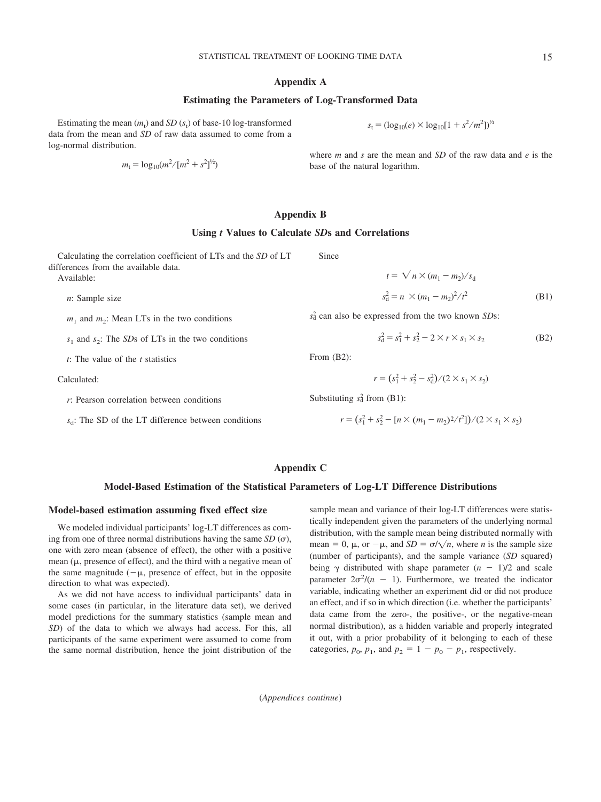### **Appendix A**

#### **Estimating the Parameters of Log-Transformed Data**

Estimating the mean  $(m_t)$  and *SD*  $(s_t)$  of base-10 log-transformed data from the mean and *SD* of raw data assumed to come from a log-normal distribution.

$$
m_{\rm t} = \log_{10}(m^2/[m^2+s^2]^{1/2})
$$

#### **Appendix B**

#### **Using** *t* **Values to Calculate** *SD***s and Correlations**

Calculating the correlation coefficient of LTs and the *SD* of LT differences from the available data.

Available:

*n*: Sample size

 $m_1$  and  $m_2$ : Mean LTs in the two conditions

 $s_1$  and  $s_2$ : The *SDs* of LTs in the two conditions

*t*: The value of the *t* statistics

Calculated:

*r*: Pearson correlation between conditions

 $s_d$ : The SD of the LT difference between conditions

base of the natural logarithm.

 $s_t = (\log_{10}(e) \times \log_{10}[1 + s^2/m^2])^{1/2}$ 

where *m* and *s* are the mean and *SD* of the raw data and *e* is the

Since

$$
t = \sqrt{n} \times (m_1 - m_2) / s_d
$$
  

$$
s_d^2 = n \times (m_1 - m_2)^2 / t^2
$$
 (B1)

 $s_d^2 = s_1^2 + s_2^2 - 2 \times r \times s_1 \times s_2$  (B2)

 $s_d^2$  can also be expressed from the two known *SDs*:

From (B2):

$$
r = (s_1^2 + s_2^2 - s_d^2) / (2 \times s_1 \times s_2)
$$

Substituting  $s_d^2$  from (B1):

$$
r = (s_1^2 + s_2^2 - [n \times (m_1 - m_2)^2 / t^2]) / (2 \times s_1 \times s_2)
$$

**Appendix C**

#### **Model-Based Estimation of the Statistical Parameters of Log-LT Difference Distributions**

#### **Model-based estimation assuming fixed effect size**

We modeled individual participants' log-LT differences as coming from one of three normal distributions having the same  $SD(\sigma)$ , one with zero mean (absence of effect), the other with a positive mean  $(\mu)$ , presence of effect), and the third with a negative mean of the same magnitude  $(-\mu,$  presence of effect, but in the opposite direction to what was expected).

As we did not have access to individual participants' data in some cases (in particular, in the literature data set), we derived model predictions for the summary statistics (sample mean and *SD*) of the data to which we always had access. For this, all participants of the same experiment were assumed to come from the same normal distribution, hence the joint distribution of the

sample mean and variance of their log-LT differences were statistically independent given the parameters of the underlying normal distribution, with the sample mean being distributed normally with mean = 0,  $\mu$ , or  $-\mu$ , and *SD* =  $\sigma/\sqrt{n}$ , where *n* is the sample size (number of participants), and the sample variance (*SD* squared) being  $\gamma$  distributed with shape parameter  $(n - 1)/2$  and scale parameter  $2\sigma^2/(n - 1)$ . Furthermore, we treated the indicator variable, indicating whether an experiment did or did not produce an effect, and if so in which direction (i.e. whether the participants' data came from the zero-, the positive-, or the negative-mean normal distribution), as a hidden variable and properly integrated it out, with a prior probability of it belonging to each of these categories,  $p_0$ ,  $p_1$ , and  $p_2 = 1 - p_0 - p_1$ , respectively.

(*Appendices continue*)